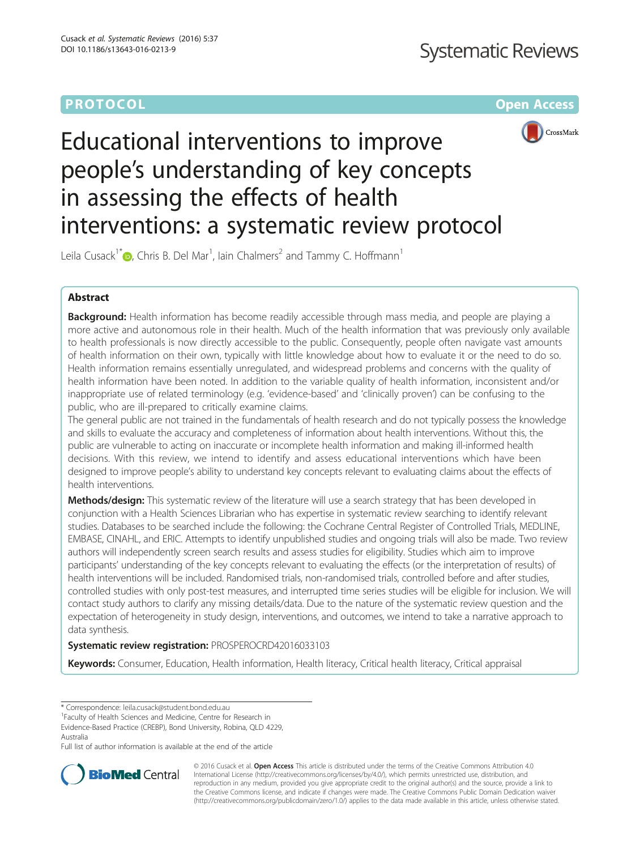# **PROTOCOL CONSUMING THE CONSUMING TEACHER CONSUMING THE CONSUMING TEACHER CONSUMING THE CONSUMING TEACHER CONSUMING**



# Educational interventions to improve people's understanding of key concepts in assessing the effects of health interventions: a systematic review protocol

Leila Cusack<sup>1\*</sup> $\bm{\circ}$ [,](http://orcid.org/0000-0002-0178-6426) Chris B. Del Mar<sup>1</sup>, Iain Chalmers<sup>2</sup> and Tammy C. Hoffmann<sup>1</sup>

# Abstract

Background: Health information has become readily accessible through mass media, and people are playing a more active and autonomous role in their health. Much of the health information that was previously only available to health professionals is now directly accessible to the public. Consequently, people often navigate vast amounts of health information on their own, typically with little knowledge about how to evaluate it or the need to do so. Health information remains essentially unregulated, and widespread problems and concerns with the quality of health information have been noted. In addition to the variable quality of health information, inconsistent and/or inappropriate use of related terminology (e.g. 'evidence-based' and 'clinically proven') can be confusing to the public, who are ill-prepared to critically examine claims.

The general public are not trained in the fundamentals of health research and do not typically possess the knowledge and skills to evaluate the accuracy and completeness of information about health interventions. Without this, the public are vulnerable to acting on inaccurate or incomplete health information and making ill-informed health decisions. With this review, we intend to identify and assess educational interventions which have been designed to improve people's ability to understand key concepts relevant to evaluating claims about the effects of health interventions.

**Methods/design:** This systematic review of the literature will use a search strategy that has been developed in conjunction with a Health Sciences Librarian who has expertise in systematic review searching to identify relevant studies. Databases to be searched include the following: the Cochrane Central Register of Controlled Trials, MEDLINE, EMBASE, CINAHL, and ERIC. Attempts to identify unpublished studies and ongoing trials will also be made. Two review authors will independently screen search results and assess studies for eligibility. Studies which aim to improve participants' understanding of the key concepts relevant to evaluating the effects (or the interpretation of results) of health interventions will be included. Randomised trials, non-randomised trials, controlled before and after studies, controlled studies with only post-test measures, and interrupted time series studies will be eligible for inclusion. We will contact study authors to clarify any missing details/data. Due to the nature of the systematic review question and the expectation of heterogeneity in study design, interventions, and outcomes, we intend to take a narrative approach to data synthesis.

# Systematic review registration: PROSPER[OCRD42016033103](http://www.crd.york.ac.uk/prospero/display_record.asp?ID=CRD42016033103)

Keywords: Consumer, Education, Health information, Health literacy, Critical health literacy, Critical appraisal

\* Correspondence: [leila.cusack@student.bond.edu.au](mailto:leila.cusack@student.bond.edu.au) <sup>1</sup>

<sup>1</sup> Faculty of Health Sciences and Medicine, Centre for Research in

Evidence-Based Practice (CREBP), Bond University, Robina, QLD 4229, Australia

Full list of author information is available at the end of the article



© 2016 Cusack et al. Open Access This article is distributed under the terms of the Creative Commons Attribution 4.0 International License [\(http://creativecommons.org/licenses/by/4.0/](http://creativecommons.org/licenses/by/4.0/)), which permits unrestricted use, distribution, and reproduction in any medium, provided you give appropriate credit to the original author(s) and the source, provide a link to the Creative Commons license, and indicate if changes were made. The Creative Commons Public Domain Dedication waiver [\(http://creativecommons.org/publicdomain/zero/1.0/](http://creativecommons.org/publicdomain/zero/1.0/)) applies to the data made available in this article, unless otherwise stated.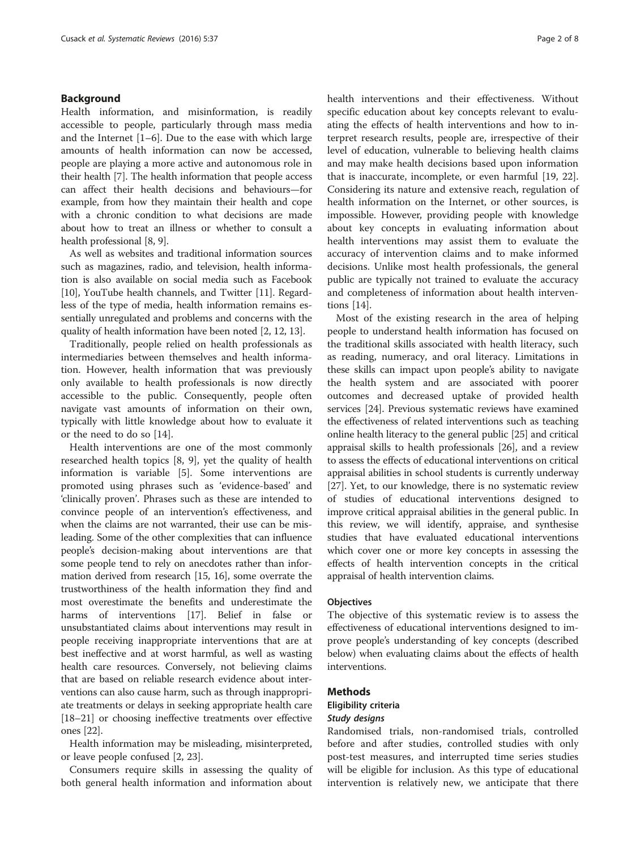# Background

Health information, and misinformation, is readily accessible to people, particularly through mass media and the Internet  $[1-6]$  $[1-6]$  $[1-6]$ . Due to the ease with which large amounts of health information can now be accessed, people are playing a more active and autonomous role in their health [[7\]](#page-6-0). The health information that people access can affect their health decisions and behaviours—for example, from how they maintain their health and cope with a chronic condition to what decisions are made about how to treat an illness or whether to consult a health professional [\[8](#page-6-0), [9\]](#page-6-0).

As well as websites and traditional information sources such as magazines, radio, and television, health information is also available on social media such as Facebook [[10](#page-6-0)], YouTube health channels, and Twitter [[11\]](#page-6-0). Regardless of the type of media, health information remains essentially unregulated and problems and concerns with the quality of health information have been noted [\[2](#page-6-0), [12, 13\]](#page-6-0).

Traditionally, people relied on health professionals as intermediaries between themselves and health information. However, health information that was previously only available to health professionals is now directly accessible to the public. Consequently, people often navigate vast amounts of information on their own, typically with little knowledge about how to evaluate it or the need to do so [\[14\]](#page-6-0).

Health interventions are one of the most commonly researched health topics [\[8](#page-6-0), [9](#page-6-0)], yet the quality of health information is variable [[5\]](#page-6-0). Some interventions are promoted using phrases such as 'evidence-based' and 'clinically proven'. Phrases such as these are intended to convince people of an intervention's effectiveness, and when the claims are not warranted, their use can be misleading. Some of the other complexities that can influence people's decision-making about interventions are that some people tend to rely on anecdotes rather than information derived from research [\[15, 16\]](#page-6-0), some overrate the trustworthiness of the health information they find and most overestimate the benefits and underestimate the harms of interventions [\[17\]](#page-6-0). Belief in false or unsubstantiated claims about interventions may result in people receiving inappropriate interventions that are at best ineffective and at worst harmful, as well as wasting health care resources. Conversely, not believing claims that are based on reliable research evidence about interventions can also cause harm, such as through inappropriate treatments or delays in seeking appropriate health care [[18](#page-7-0)–[21\]](#page-7-0) or choosing ineffective treatments over effective ones [[22](#page-7-0)].

Health information may be misleading, misinterpreted, or leave people confused [\[2,](#page-6-0) [23\]](#page-7-0).

Consumers require skills in assessing the quality of both general health information and information about health interventions and their effectiveness. Without specific education about key concepts relevant to evaluating the effects of health interventions and how to interpret research results, people are, irrespective of their level of education, vulnerable to believing health claims and may make health decisions based upon information that is inaccurate, incomplete, or even harmful [[19, 22](#page-7-0)]. Considering its nature and extensive reach, regulation of health information on the Internet, or other sources, is impossible. However, providing people with knowledge about key concepts in evaluating information about health interventions may assist them to evaluate the accuracy of intervention claims and to make informed decisions. Unlike most health professionals, the general public are typically not trained to evaluate the accuracy and completeness of information about health interventions [[14\]](#page-6-0).

Most of the existing research in the area of helping people to understand health information has focused on the traditional skills associated with health literacy, such as reading, numeracy, and oral literacy. Limitations in these skills can impact upon people's ability to navigate the health system and are associated with poorer outcomes and decreased uptake of provided health services [[24](#page-7-0)]. Previous systematic reviews have examined the effectiveness of related interventions such as teaching online health literacy to the general public [[25](#page-7-0)] and critical appraisal skills to health professionals [[26](#page-7-0)], and a review to assess the effects of educational interventions on critical appraisal abilities in school students is currently underway [[27](#page-7-0)]. Yet, to our knowledge, there is no systematic review of studies of educational interventions designed to improve critical appraisal abilities in the general public. In this review, we will identify, appraise, and synthesise studies that have evaluated educational interventions which cover one or more key concepts in assessing the effects of health intervention concepts in the critical appraisal of health intervention claims.

#### **Objectives**

The objective of this systematic review is to assess the effectiveness of educational interventions designed to improve people's understanding of key concepts (described below) when evaluating claims about the effects of health interventions.

#### Methods

# Eligibility criteria Study designs

Randomised trials, non-randomised trials, controlled before and after studies, controlled studies with only post-test measures, and interrupted time series studies will be eligible for inclusion. As this type of educational intervention is relatively new, we anticipate that there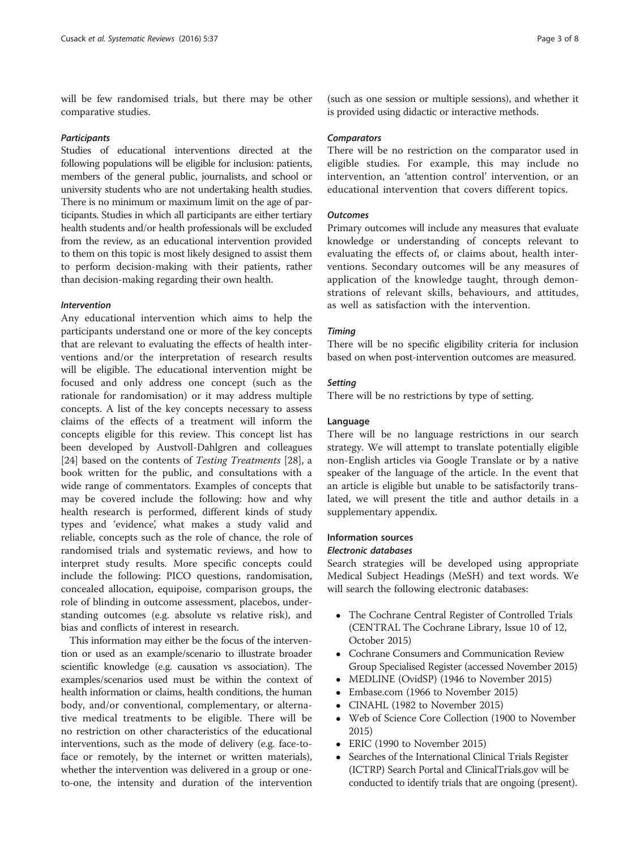will be few randomised trials, but there may be other comparative studies.

#### **Participants**

Studies of educational interventions directed at the following populations will be eligible for inclusion: patients, members of the general public, journalists, and school or university students who are not undertaking health studies. There is no minimum or maximum limit on the age of participants. Studies in which all participants are either tertiary health students and/or health professionals will be excluded from the review, as an educational intervention provided to them on this topic is most likely designed to assist them to perform decision-making with their patients, rather than decision-making regarding their own health.

#### Intervention

Any educational intervention which aims to help the participants understand one or more of the key concepts that are relevant to evaluating the effects of health interventions and/or the interpretation of research results will be eligible. The educational intervention might be focused and only address one concept (such as the rationale for randomisation) or it may address multiple concepts. A list of the key concepts necessary to assess claims of the effects of a treatment will inform the concepts eligible for this review. This concept list has been developed by Austvoll-Dahlgren and colleagues [[24\]](#page-7-0) based on the contents of Testing Treatments [[28\]](#page-7-0), a book written for the public, and consultations with a wide range of commentators. Examples of concepts that may be covered include the following: how and why health research is performed, different kinds of study types and 'evidence', what makes a study valid and reliable, concepts such as the role of chance, the role of randomised trials and systematic reviews, and how to interpret study results. More specific concepts could include the following: PICO questions, randomisation, concealed allocation, equipoise, comparison groups, the role of blinding in outcome assessment, placebos, understanding outcomes (e.g. absolute vs relative risk), and bias and conflicts of interest in research.

This information may either be the focus of the intervention or used as an example/scenario to illustrate broader scientific knowledge (e.g. causation vs association). The examples/scenarios used must be within the context of health information or claims, health conditions, the human body, and/or conventional, complementary, or alternative medical treatments to be eligible. There will be no restriction on other characteristics of the educational interventions, such as the mode of delivery (e.g. face-toface or remotely, by the internet or written materials), whether the intervention was delivered in a group or oneto-one, the intensity and duration of the intervention (such as one session or multiple sessions), and whether it is provided using didactic or interactive methods.

#### **Comparators**

There will be no restriction on the comparator used in eligible studies. For example, this may include no intervention, an 'attention control' intervention, or an educational intervention that covers different topics.

# **Outcomes**

Primary outcomes will include any measures that evaluate knowledge or understanding of concepts relevant to evaluating the effects of, or claims about, health interventions. Secondary outcomes will be any measures of application of the knowledge taught, through demonstrations of relevant skills, behaviours, and attitudes, as well as satisfaction with the intervention.

# Timing

There will be no specific eligibility criteria for inclusion based on when post-intervention outcomes are measured.

#### **Setting**

There will be no restrictions by type of setting.

### Language

There will be no language restrictions in our search strategy. We will attempt to translate potentially eligible non-English articles via Google Translate or by a native speaker of the language of the article. In the event that an article is eligible but unable to be satisfactorily translated, we will present the title and author details in a supplementary appendix.

#### Information sources Electronic databases

Search strategies will be developed using appropriate Medical Subject Headings (MeSH) and text words. We will search the following electronic databases:

- The Cochrane Central Register of Controlled Trials (CENTRAL The Cochrane Library, Issue 10 of 12, October 2015)
- Cochrane Consumers and Communication Review Group Specialised Register (accessed November 2015)
- MEDLINE (OvidSP) (1946 to November 2015)
- Embase.com (1966 to November 2015)
- CINAHL (1982 to November 2015)
- Web of Science Core Collection (1900 to November 2015)
- ERIC (1990 to November 2015)
- Searches of the International Clinical Trials Register (ICTRP) Search Portal and ClinicalTrials.gov will be conducted to identify trials that are ongoing (present).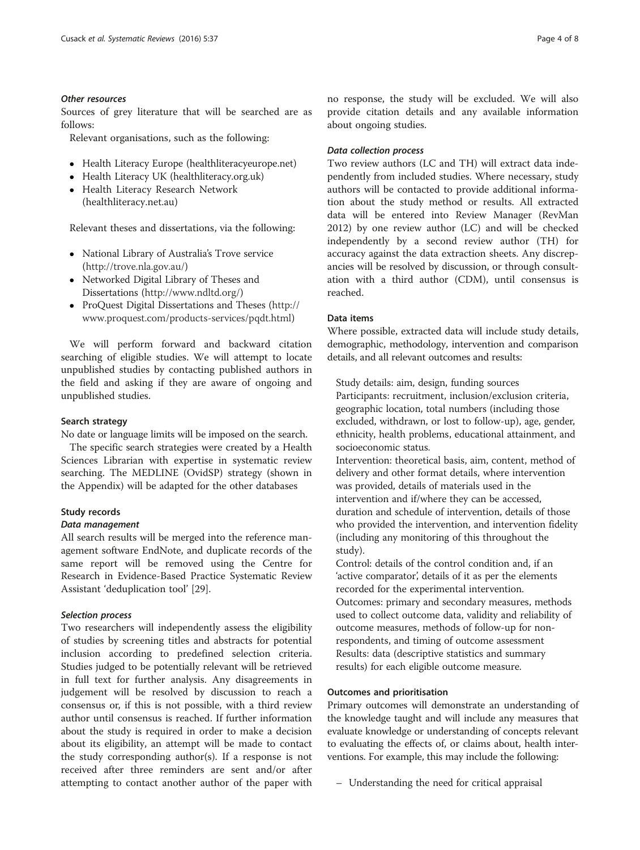# Other resources

Sources of grey literature that will be searched are as follows:

Relevant organisations, such as the following:

- Health Literacy Europe (healthliteracyeurope.net)
- Health Literacy UK (healthliteracy.org.uk)
- Health Literacy Research Network (healthliteracy.net.au)

Relevant theses and dissertations, via the following:

- National Library of Australia's Trove service (<http://trove.nla.gov.au/>)
- Networked Digital Library of Theses and Dissertations (<http://www.ndltd.org/>)
- ProQuest Digital Dissertations and Theses [\(http://](http://www.proquest.com/products-services/pqdt.html) [www.proquest.com/products-services/pqdt.html](http://www.proquest.com/products-services/pqdt.html))

We will perform forward and backward citation searching of eligible studies. We will attempt to locate unpublished studies by contacting published authors in the field and asking if they are aware of ongoing and unpublished studies.

### Search strategy

No date or language limits will be imposed on the search.

The specific search strategies were created by a Health Sciences Librarian with expertise in systematic review searching. The MEDLINE (OvidSP) strategy (shown in the [Appendix](#page-5-0)) will be adapted for the other databases

# Study records

# Data management

All search results will be merged into the reference management software EndNote, and duplicate records of the same report will be removed using the Centre for Research in Evidence-Based Practice Systematic Review Assistant 'deduplication tool' [\[29](#page-7-0)].

# Selection process

Two researchers will independently assess the eligibility of studies by screening titles and abstracts for potential inclusion according to predefined selection criteria. Studies judged to be potentially relevant will be retrieved in full text for further analysis. Any disagreements in judgement will be resolved by discussion to reach a consensus or, if this is not possible, with a third review author until consensus is reached. If further information about the study is required in order to make a decision about its eligibility, an attempt will be made to contact the study corresponding author(s). If a response is not received after three reminders are sent and/or after attempting to contact another author of the paper with

no response, the study will be excluded. We will also provide citation details and any available information about ongoing studies.

# Data collection process

Two review authors (LC and TH) will extract data independently from included studies. Where necessary, study authors will be contacted to provide additional information about the study method or results. All extracted data will be entered into Review Manager (RevMan 2012) by one review author (LC) and will be checked independently by a second review author (TH) for accuracy against the data extraction sheets. Any discrepancies will be resolved by discussion, or through consultation with a third author (CDM), until consensus is reached.

# Data items

Where possible, extracted data will include study details, demographic, methodology, intervention and comparison details, and all relevant outcomes and results:

Study details: aim, design, funding sources Participants: recruitment, inclusion/exclusion criteria, geographic location, total numbers (including those excluded, withdrawn, or lost to follow-up), age, gender, ethnicity, health problems, educational attainment, and socioeconomic status.

Intervention: theoretical basis, aim, content, method of delivery and other format details, where intervention was provided, details of materials used in the intervention and if/where they can be accessed, duration and schedule of intervention, details of those who provided the intervention, and intervention fidelity (including any monitoring of this throughout the study).

Control: details of the control condition and, if an 'active comparator', details of it as per the elements recorded for the experimental intervention. Outcomes: primary and secondary measures, methods used to collect outcome data, validity and reliability of outcome measures, methods of follow-up for nonrespondents, and timing of outcome assessment Results: data (descriptive statistics and summary results) for each eligible outcome measure.

# Outcomes and prioritisation

Primary outcomes will demonstrate an understanding of the knowledge taught and will include any measures that evaluate knowledge or understanding of concepts relevant to evaluating the effects of, or claims about, health interventions. For example, this may include the following:

– Understanding the need for critical appraisal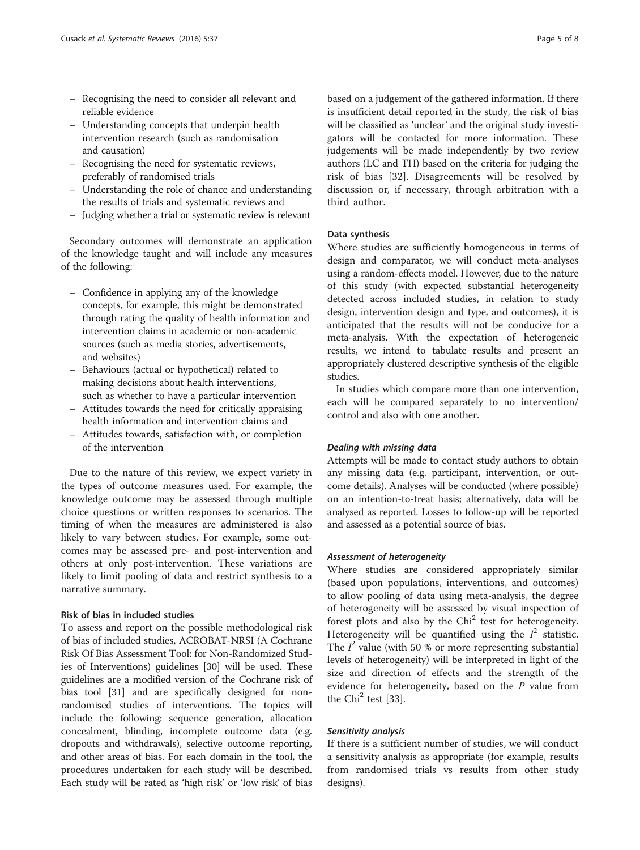- Recognising the need to consider all relevant and reliable evidence
- Understanding concepts that underpin health intervention research (such as randomisation and causation)
- Recognising the need for systematic reviews, preferably of randomised trials
- Understanding the role of chance and understanding the results of trials and systematic reviews and
- Judging whether a trial or systematic review is relevant

Secondary outcomes will demonstrate an application of the knowledge taught and will include any measures of the following:

- Confidence in applying any of the knowledge concepts, for example, this might be demonstrated through rating the quality of health information and intervention claims in academic or non-academic sources (such as media stories, advertisements, and websites)
- Behaviours (actual or hypothetical) related to making decisions about health interventions, such as whether to have a particular intervention
- Attitudes towards the need for critically appraising health information and intervention claims and
- Attitudes towards, satisfaction with, or completion of the intervention

Due to the nature of this review, we expect variety in the types of outcome measures used. For example, the knowledge outcome may be assessed through multiple choice questions or written responses to scenarios. The timing of when the measures are administered is also likely to vary between studies. For example, some outcomes may be assessed pre- and post-intervention and others at only post-intervention. These variations are likely to limit pooling of data and restrict synthesis to a narrative summary.

# Risk of bias in included studies

To assess and report on the possible methodological risk of bias of included studies, ACROBAT-NRSI (A Cochrane Risk Of Bias Assessment Tool: for Non-Randomized Studies of Interventions) guidelines [\[30\]](#page-7-0) will be used. These guidelines are a modified version of the Cochrane risk of bias tool [[31](#page-7-0)] and are specifically designed for nonrandomised studies of interventions. The topics will include the following: sequence generation, allocation concealment, blinding, incomplete outcome data (e.g. dropouts and withdrawals), selective outcome reporting, and other areas of bias. For each domain in the tool, the procedures undertaken for each study will be described. Each study will be rated as 'high risk' or 'low risk' of bias

based on a judgement of the gathered information. If there is insufficient detail reported in the study, the risk of bias will be classified as 'unclear' and the original study investigators will be contacted for more information. These judgements will be made independently by two review authors (LC and TH) based on the criteria for judging the risk of bias [[32](#page-7-0)]. Disagreements will be resolved by discussion or, if necessary, through arbitration with a third author.

# Data synthesis

Where studies are sufficiently homogeneous in terms of design and comparator, we will conduct meta-analyses using a random-effects model. However, due to the nature of this study (with expected substantial heterogeneity detected across included studies, in relation to study design, intervention design and type, and outcomes), it is anticipated that the results will not be conducive for a meta-analysis. With the expectation of heterogeneic results, we intend to tabulate results and present an appropriately clustered descriptive synthesis of the eligible studies.

In studies which compare more than one intervention, each will be compared separately to no intervention/ control and also with one another.

#### Dealing with missing data

Attempts will be made to contact study authors to obtain any missing data (e.g. participant, intervention, or outcome details). Analyses will be conducted (where possible) on an intention-to-treat basis; alternatively, data will be analysed as reported. Losses to follow-up will be reported and assessed as a potential source of bias.

### Assessment of heterogeneity

Where studies are considered appropriately similar (based upon populations, interventions, and outcomes) to allow pooling of data using meta-analysis, the degree of heterogeneity will be assessed by visual inspection of forest plots and also by the Chi<sup>2</sup> test for heterogeneity. Heterogeneity will be quantified using the  $I^2$  statistic.<br>The  $I^2$  value (with 50 % or more representing substantial) The  $I^2$  value (with 50 % or more representing substantial<br>levels of beterogeneity) will be interpreted in light of the levels of heterogeneity) will be interpreted in light of the size and direction of effects and the strength of the evidence for heterogeneity, based on the P value from the Chi<sup>2</sup> test [\[33](#page-7-0)].

# Sensitivity analysis

If there is a sufficient number of studies, we will conduct a sensitivity analysis as appropriate (for example, results from randomised trials vs results from other study designs).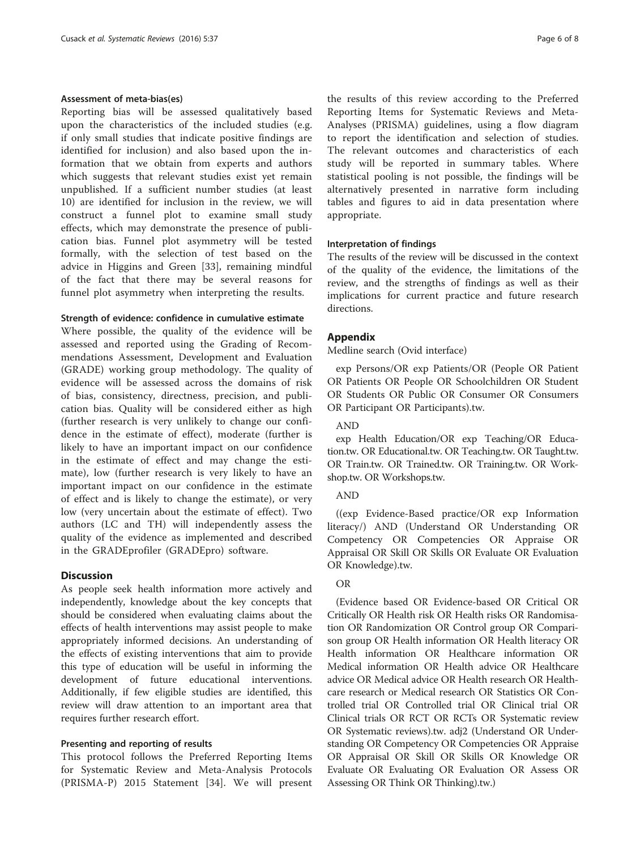# <span id="page-5-0"></span>Assessment of meta-bias(es)

Reporting bias will be assessed qualitatively based upon the characteristics of the included studies (e.g. if only small studies that indicate positive findings are identified for inclusion) and also based upon the information that we obtain from experts and authors which suggests that relevant studies exist yet remain unpublished. If a sufficient number studies (at least 10) are identified for inclusion in the review, we will construct a funnel plot to examine small study effects, which may demonstrate the presence of publication bias. Funnel plot asymmetry will be tested formally, with the selection of test based on the advice in Higgins and Green [[33\]](#page-7-0), remaining mindful of the fact that there may be several reasons for funnel plot asymmetry when interpreting the results.

# Strength of evidence: confidence in cumulative estimate

Where possible, the quality of the evidence will be assessed and reported using the Grading of Recommendations Assessment, Development and Evaluation (GRADE) working group methodology. The quality of evidence will be assessed across the domains of risk of bias, consistency, directness, precision, and publication bias. Quality will be considered either as high (further research is very unlikely to change our confidence in the estimate of effect), moderate (further is likely to have an important impact on our confidence in the estimate of effect and may change the estimate), low (further research is very likely to have an important impact on our confidence in the estimate of effect and is likely to change the estimate), or very low (very uncertain about the estimate of effect). Two authors (LC and TH) will independently assess the quality of the evidence as implemented and described in the GRADEprofiler (GRADEpro) software.

# **Discussion**

As people seek health information more actively and independently, knowledge about the key concepts that should be considered when evaluating claims about the effects of health interventions may assist people to make appropriately informed decisions. An understanding of the effects of existing interventions that aim to provide this type of education will be useful in informing the development of future educational interventions. Additionally, if few eligible studies are identified, this review will draw attention to an important area that requires further research effort.

# Presenting and reporting of results

This protocol follows the Preferred Reporting Items for Systematic Review and Meta-Analysis Protocols (PRISMA-P) 2015 Statement [[34\]](#page-7-0). We will present the results of this review according to the Preferred Reporting Items for Systematic Reviews and Meta-Analyses (PRISMA) guidelines, using a flow diagram to report the identification and selection of studies. The relevant outcomes and characteristics of each study will be reported in summary tables. Where statistical pooling is not possible, the findings will be alternatively presented in narrative form including tables and figures to aid in data presentation where appropriate.

#### Interpretation of findings

The results of the review will be discussed in the context of the quality of the evidence, the limitations of the review, and the strengths of findings as well as their implications for current practice and future research directions.

# **Appendix**

#### Medline search (Ovid interface)

exp Persons/OR exp Patients/OR (People OR Patient OR Patients OR People OR Schoolchildren OR Student OR Students OR Public OR Consumer OR Consumers OR Participant OR Participants).tw.

# AND

exp Health Education/OR exp Teaching/OR Education.tw. OR Educational.tw. OR Teaching.tw. OR Taught.tw. OR Train.tw. OR Trained.tw. OR Training.tw. OR Workshop.tw. OR Workshops.tw.

# AND

((exp Evidence-Based practice/OR exp Information literacy/) AND (Understand OR Understanding OR Competency OR Competencies OR Appraise OR Appraisal OR Skill OR Skills OR Evaluate OR Evaluation OR Knowledge).tw.

# OR

(Evidence based OR Evidence-based OR Critical OR Critically OR Health risk OR Health risks OR Randomisation OR Randomization OR Control group OR Comparison group OR Health information OR Health literacy OR Health information OR Healthcare information OR Medical information OR Health advice OR Healthcare advice OR Medical advice OR Health research OR Healthcare research or Medical research OR Statistics OR Controlled trial OR Controlled trial OR Clinical trial OR Clinical trials OR RCT OR RCTs OR Systematic review OR Systematic reviews).tw. adj2 (Understand OR Understanding OR Competency OR Competencies OR Appraise OR Appraisal OR Skill OR Skills OR Knowledge OR Evaluate OR Evaluating OR Evaluation OR Assess OR Assessing OR Think OR Thinking).tw.)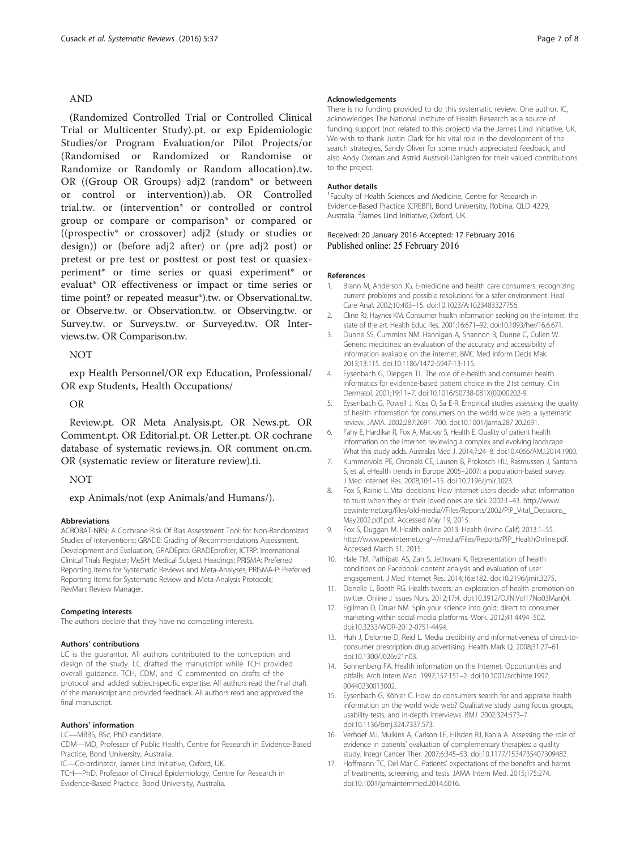### <span id="page-6-0"></span>AND

(Randomized Controlled Trial or Controlled Clinical Trial or Multicenter Study).pt. or exp Epidemiologic Studies/or Program Evaluation/or Pilot Projects/or (Randomised or Randomized or Randomise or Randomize or Randomly or Random allocation).tw. OR ((Group OR Groups) adj2 (random\* or between or control or intervention)).ab. OR Controlled trial.tw. or (intervention\* or controlled or control group or compare or comparison\* or compared or ((prospectiv\* or crossover) adj2 (study or studies or design)) or (before adj2 after) or (pre adj2 post) or pretest or pre test or posttest or post test or quasiexperiment\* or time series or quasi experiment\* or evaluat\* OR effectiveness or impact or time series or time point? or repeated measur\*).tw. or Observational.tw. or Observe.tw. or Observation.tw. or Observing.tw. or Survey.tw. or Surveys.tw. or Surveyed.tw. OR Interviews.tw. OR Comparison.tw.

# NOT

exp Health Personnel/OR exp Education, Professional/ OR exp Students, Health Occupations/

OR

Review.pt. OR Meta Analysis.pt. OR News.pt. OR Comment.pt. OR Editorial.pt. OR Letter.pt. OR cochrane database of systematic reviews.jn. OR comment on.cm. OR (systematic review or literature review).ti.

NOT

# exp Animals/not (exp Animals/and Humans/).

#### Abbreviations

ACROBAT-NRSI: A Cochrane Risk Of Bias Assessment Tool: for Non-Randomized Studies of Interventions; GRADE: Grading of Recommendations Assessment, Development and Evaluation; GRADEpro: GRADEprofiler; ICTRP: International Clinical Trials Register; MeSH: Medical Subject Headings; PRISMA: Preferred Reporting Items for Systematic Reviews and Meta-Analyses; PRISMA-P: Preferred Reporting Items for Systematic Review and Meta-Analysis Protocols; RevMan: Review Manager.

#### Competing interests

The authors declare that they have no competing interests.

#### Authors' contributions

LC is the guarantor. All authors contributed to the conception and design of the study. LC drafted the manuscript while TCH provided overall guidance. TCH, CDM, and IC commented on drafts of the protocol and added subject-specific expertise. All authors read the final draft of the manuscript and provided feedback. All authors read and approved the final manuscript.

#### Authors' information

LC—MBBS, BSc, PhD candidate.

CDM—MD, Professor of Public Health, Centre for Research in Evidence-Based Practice, Bond University, Australia.

IC—Co-ordinator, James Lind Initiative, Oxford, UK.

TCH—PhD, Professor of Clinical Epidemiology, Centre for Research in Evidence-Based Practice, Bond University, Australia.

#### Acknowledgements

There is no funding provided to do this systematic review. One author, IC, acknowledges The National Institute of Health Research as a source of funding support (not related to this project) via the James Lind Initiative, UK. We wish to thank Justin Clark for his vital role in the development of the search strategies, Sandy Oliver for some much appreciated feedback, and also Andy Oxman and Astrid Austvoll-Dahlgren for their valued contributions to the project.

#### Author details

1 Faculty of Health Sciences and Medicine, Centre for Research in Evidence-Based Practice (CREBP), Bond University, Robina, QLD 4229, Australia. <sup>2</sup> James Lind Initiative, Oxford, UK

Received: 20 January 2016 Accepted: 17 February 2016 Published online: 25 February 2016

#### References

- 1. Brann M, Anderson JG. E-medicine and health care consumers: recognizing current problems and possible resolutions for a safer environment. Heal Care Anal. 2002;10:403–15. doi:[10.1023/A:1023483327756](http://dx.doi.org/10.1023/A:1023483327756).
- 2. Cline RJ, Haynes KM. Consumer health information seeking on the Internet: the state of the art. Health Educ Res. 2001;16:671–92. doi[:10.1093/her/16.6.671.](http://dx.doi.org/10.1093/her/16.6.671)
- 3. Dunne SS, Cummins NM, Hannigan A, Shannon B, Dunne C, Cullen W. Generic medicines: an evaluation of the accuracy and accessibility of information available on the internet. BMC Med Inform Decis Mak. 2013;13:115. doi[:10.1186/1472-6947-13-115](http://dx.doi.org/10.1186/1472-6947-13-115).
- 4. Eysenbach G, Diepgen TL. The role of e-health and consumer health informatics for evidence-based patient choice in the 21st century. Clin Dermatol. 2001;19:11–7. doi:[10.1016/S0738-081X\(00\)00202-9](http://dx.doi.org/10.1016/S0738-081X(00)00202-9).
- 5. Eysenbach G, Powell J, Kuss O, Sa E-R. Empirical studies assessing the quality of health information for consumers on the world wide web: a systematic review. JAMA. 2002;287:2691–700. doi:[10.1001/jama.287.20.2691.](http://dx.doi.org/10.1001/jama.287.20.2691)
- 6. Fahy E, Hardikar R, Fox A, Mackay S, Health E. Quality of patient health information on the internet: reviewing a complex and evolving landscape What this study adds. Australas Med J. 2014;7:24–8. doi[:10.4066/AMJ.2014.1900](http://dx.doi.org/10.4066/AMJ.2014.1900).
- 7. Kummervold PE, Chronaki CE, Lausen B, Prokosch HU, Rasmussen J, Santana S, et al. eHealth trends in Europe 2005–2007: a population-based survey. J Med Internet Res. 2008;10:1–15. doi:[10.2196/jmir.1023.](http://dx.doi.org/10.2196/jmir.1023)
- 8. Fox S, Rainie L. Vital decisions: How Internet users decide what information to trust when they or their loved ones are sick 2002:1–43. [http://www.](http://www.pewinternet.org/files/old-media//Files/Reports/2002/PIP_Vital_Decisions_May2002.pdf.pdf) [pewinternet.org/files/old-media//Files/Reports/2002/PIP\\_Vital\\_Decisions\\_](http://www.pewinternet.org/files/old-media//Files/Reports/2002/PIP_Vital_Decisions_May2002.pdf.pdf) [May2002.pdf.pdf.](http://www.pewinternet.org/files/old-media//Files/Reports/2002/PIP_Vital_Decisions_May2002.pdf.pdf) Accessed May 19, 2015.
- 9. Fox S, Duggan M. Health online 2013. Health (Irvine Calif) 2013:1–55. [http://www.pewinternet.org/~/media/Files/Reports/PIP\\_HealthOnline.pdf.](http://www.pewinternet.org/~/media/Files/Reports/PIP_HealthOnline.pdf) Accessed March 31, 2015.
- 10. Hale TM, Pathipati AS, Zan S, Jethwani K. Representation of health conditions on Facebook: content analysis and evaluation of user engagement. J Med Internet Res. 2014;16:e182. doi:[10.2196/jmir.3275](http://dx.doi.org/10.2196/jmir.3275).
- 11. Donelle L, Booth RG. Health tweets: an exploration of health promotion on twitter. Online J Issues Nurs. 2012;17:4. doi:[10.3912/OJIN.Vol17No03Man04](http://dx.doi.org/10.3912/OJIN.Vol17No03Man04).
- 12. Egilman D, Druar NM. Spin your science into gold: direct to consumer marketing within social media platforms. Work. 2012;41:4494–502. doi[:10.3233/WOR-2012-0751-4494](http://dx.doi.org/10.3233/WOR-2012-0751-4494).
- 13. Huh J, Delorme D, Reid L. Media credibility and informativeness of direct-toconsumer prescription drug advertising. Health Mark Q. 2008;31:27–61. doi[:10.1300/J026v21n03](http://dx.doi.org/10.1300/J026v21n03).
- 14. Sonnenberg FA. Health information on the Internet. Opportunities and pitfalls. Arch Intern Med. 1997;157:151–2. doi[:10.1001/archinte.1997.](http://dx.doi.org/10.1001/archinte.1997.00440230013002) [00440230013002](http://dx.doi.org/10.1001/archinte.1997.00440230013002).
- 15. Eysenbach G, Köhler C. How do consumers search for and appraise health information on the world wide web? Qualitative study using focus groups, usability tests, and in-depth interviews. BMJ. 2002;324:573–7. doi[:10.1136/bmj.324.7337.573.](http://dx.doi.org/10.1136/bmj.324.7337.573)
- 16. Verhoef MJ, Mulkins A, Carlson LE, Hilsden RJ, Kania A. Assessing the role of evidence in patients' evaluation of complementary therapies: a quality study. Integr Cancer Ther. 2007;6:345–53. doi:[10.1177/1534735407309482](http://dx.doi.org/10.1177/1534735407309482).
- 17. Hoffmann TC, Del Mar C. Patients' expectations of the benefits and harms of treatments, screening, and tests. JAMA Intern Med. 2015;175:274. doi[:10.1001/jamainternmed.2014.6016](http://dx.doi.org/10.1001/jamainternmed.2014.6016).